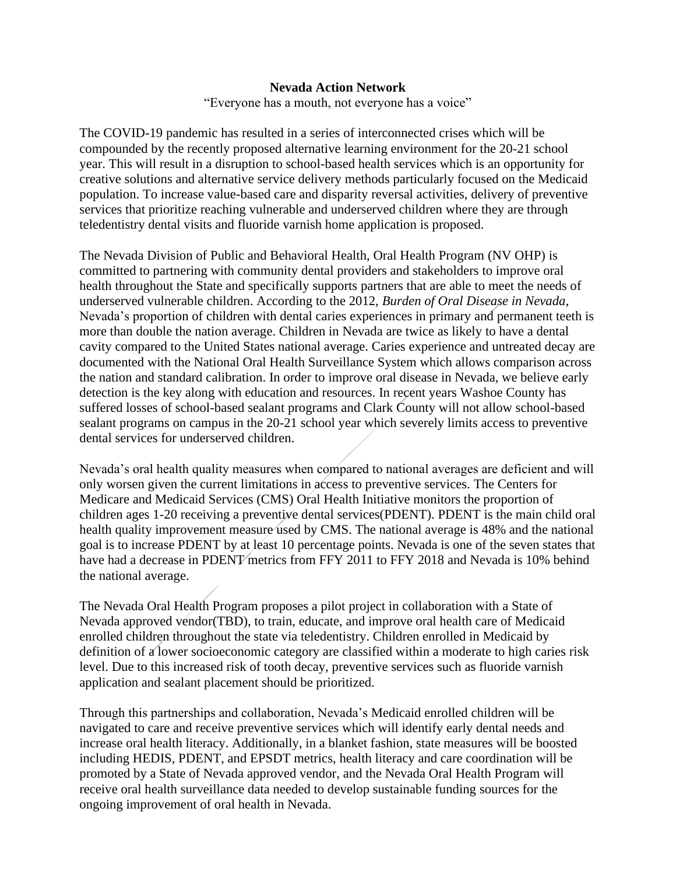#### **Nevada Action Network**

"Everyone has a mouth, not everyone has a voice"

The COVID-19 pandemic has resulted in a series of interconnected crises which will be compounded by the recently proposed alternative learning environment for the 20-21 school year. This will result in a disruption to school-based health services which is an opportunity for creative solutions and alternative service delivery methods particularly focused on the Medicaid population. To increase value-based care and disparity reversal activities, delivery of preventive services that prioritize reaching vulnerable and underserved children where they are through teledentistry dental visits and fluoride varnish home application is proposed.

The Nevada Division of Public and Behavioral Health, Oral Health Program (NV OHP) is committed to partnering with community dental providers and stakeholders to improve oral health throughout the State and specifically supports partners that are able to meet the needs of underserved vulnerable children. According to the 2012, *Burden of Oral Disease in Nevada*, Nevada's proportion of children with dental caries experiences in primary and permanent teeth is more than double the nation average. Children in Nevada are twice as likely to have a dental cavity compared to the United States national average. Caries experience and untreated decay are documented with the National Oral Health Surveillance System which allows comparison across the nation and standard calibration. In order to improve oral disease in Nevada, we believe early detection is the key along with education and resources. In recent years Washoe County has suffered losses of school-based sealant programs and Clark County will not allow school-based sealant programs on campus in the 20-21 school year which severely limits access to preventive dental services for underserved children.

Nevada's oral health quality measures when compared to national averages are deficient and will only worsen given the current limitations in access to preventive services. The Centers for Medicare and Medicaid Services (CMS) Oral Health Initiative monitors the proportion of children ages 1-20 receiving a preventive dental services(PDENT). PDENT is the main child oral health quality improvement measure used by CMS. The national average is 48% and the national goal is to increase PDENT by at least 10 percentage points. Nevada is one of the seven states that have had a decrease in PDENT metrics from FFY 2011 to FFY 2018 and Nevada is 10% behind the national average.

The Nevada Oral Health Program proposes a pilot project in collaboration with a State of Nevada approved vendor(TBD), to train, educate, and improve oral health care of Medicaid enrolled children throughout the state via teledentistry. Children enrolled in Medicaid by definition of a lower socioeconomic category are classified within a moderate to high caries risk level. Due to this increased risk of tooth decay, preventive services such as fluoride varnish application and sealant placement should be prioritized.

Through this partnerships and collaboration, Nevada's Medicaid enrolled children will be navigated to care and receive preventive services which will identify early dental needs and increase oral health literacy. Additionally, in a blanket fashion, state measures will be boosted including HEDIS, PDENT, and EPSDT metrics, health literacy and care coordination will be promoted by a State of Nevada approved vendor, and the Nevada Oral Health Program will receive oral health surveillance data needed to develop sustainable funding sources for the ongoing improvement of oral health in Nevada.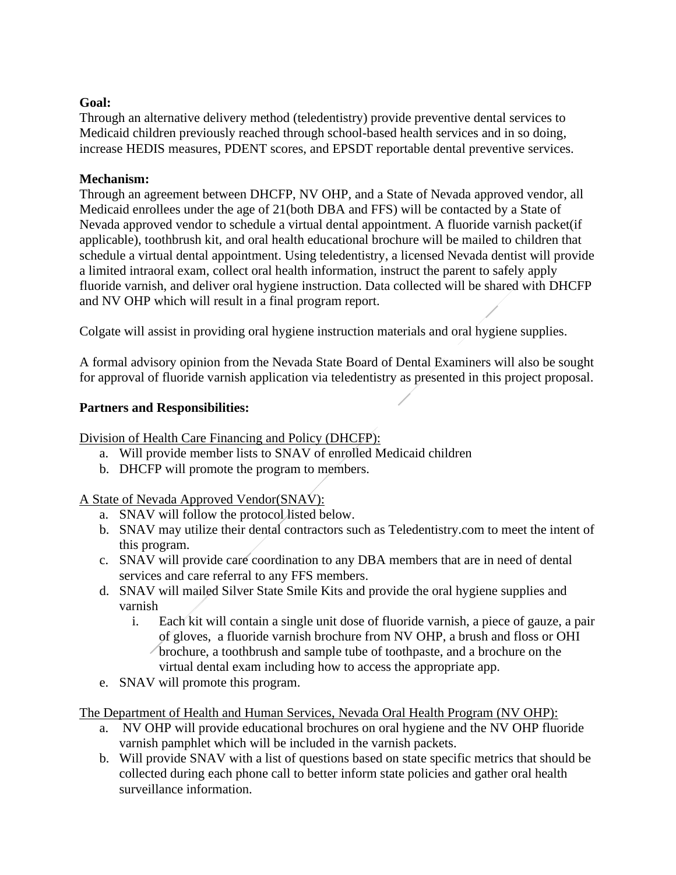#### **Goal:**

Through an alternative delivery method (teledentistry) provide preventive dental services to Medicaid children previously reached through school-based health services and in so doing, increase HEDIS measures, PDENT scores, and EPSDT reportable dental preventive services.

#### **Mechanism:**

Through an agreement between DHCFP, NV OHP, and a State of Nevada approved vendor, all Medicaid enrollees under the age of 21(both DBA and FFS) will be contacted by a State of Nevada approved vendor to schedule a virtual dental appointment. A fluoride varnish packet(if applicable), toothbrush kit, and oral health educational brochure will be mailed to children that schedule a virtual dental appointment. Using teledentistry, a licensed Nevada dentist will provide a limited intraoral exam, collect oral health information, instruct the parent to safely apply fluoride varnish, and deliver oral hygiene instruction. Data collected will be shared with DHCFP and NV OHP which will result in a final program report.

Colgate will assist in providing oral hygiene instruction materials and oral hygiene supplies.

A formal advisory opinion from the Nevada State Board of Dental Examiners will also be sought for approval of fluoride varnish application via teledentistry as presented in this project proposal.

## **Partners and Responsibilities:**

Division of Health Care Financing and Policy (DHCFP):

- a. Will provide member lists to SNAV of enrolled Medicaid children
- b. DHCFP will promote the program to members.

## A State of Nevada Approved Vendor(SNAV):

- a. SNAV will follow the protocol listed below.
- b. SNAV may utilize their dental contractors such as Teledentistry.com to meet the intent of this program.
- c. SNAV will provide care coordination to any DBA members that are in need of dental services and care referral to any FFS members.
- d. SNAV will mailed Silver State Smile Kits and provide the oral hygiene supplies and varnish
	- i. Each kit will contain a single unit dose of fluoride varnish, a piece of gauze, a pair of gloves, a fluoride varnish brochure from NV OHP, a brush and floss or OHI brochure, a toothbrush and sample tube of toothpaste, and a brochure on the virtual dental exam including how to access the appropriate app.
- e. SNAV will promote this program.

The Department of Health and Human Services, Nevada Oral Health Program (NV OHP):

- a. NV OHP will provide educational brochures on oral hygiene and the NV OHP fluoride varnish pamphlet which will be included in the varnish packets.
- b. Will provide SNAV with a list of questions based on state specific metrics that should be collected during each phone call to better inform state policies and gather oral health surveillance information.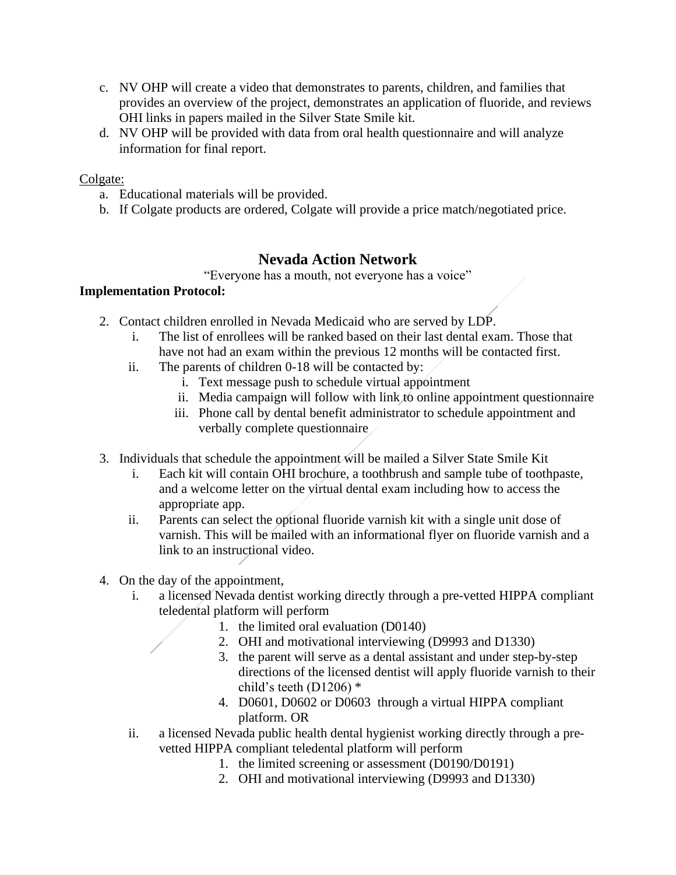- c. NV OHP will create a video that demonstrates to parents, children, and families that provides an overview of the project, demonstrates an application of fluoride, and reviews OHI links in papers mailed in the Silver State Smile kit.
- d. NV OHP will be provided with data from oral health questionnaire and will analyze information for final report.

## Colgate:

- a. Educational materials will be provided.
- b. If Colgate products are ordered, Colgate will provide a price match/negotiated price.

# **Nevada Action Network**

"Everyone has a mouth, not everyone has a voice"

## **Implementation Protocol:**

- 2. Contact children enrolled in Nevada Medicaid who are served by LDP.
	- i. The list of enrollees will be ranked based on their last dental exam. Those that have not had an exam within the previous 12 months will be contacted first.
	- ii. The parents of children 0-18 will be contacted by:
		- i. Text message push to schedule virtual appointment
		- ii. Media campaign will follow with link to online appointment questionnaire
		- iii. Phone call by dental benefit administrator to schedule appointment and verbally complete questionnaire
- 3. Individuals that schedule the appointment will be mailed a Silver State Smile Kit
	- i. Each kit will contain OHI brochure, a toothbrush and sample tube of toothpaste, and a welcome letter on the virtual dental exam including how to access the appropriate app.
	- ii. Parents can select the optional fluoride varnish kit with a single unit dose of varnish. This will be mailed with an informational flyer on fluoride varnish and a link to an instructional video.
- 4. On the day of the appointment,
	- i. a licensed Nevada dentist working directly through a pre-vetted HIPPA compliant teledental platform will perform
		- 1. the limited oral evaluation (D0140)
		- 2. OHI and motivational interviewing (D9993 and D1330)
		- 3. the parent will serve as a dental assistant and under step-by-step directions of the licensed dentist will apply fluoride varnish to their child's teeth (D1206) \*
		- 4. D0601, D0602 or D0603 through a virtual HIPPA compliant platform. OR
	- ii. a licensed Nevada public health dental hygienist working directly through a prevetted HIPPA compliant teledental platform will perform
		- 1. the limited screening or assessment (D0190/D0191)
		- 2. OHI and motivational interviewing (D9993 and D1330)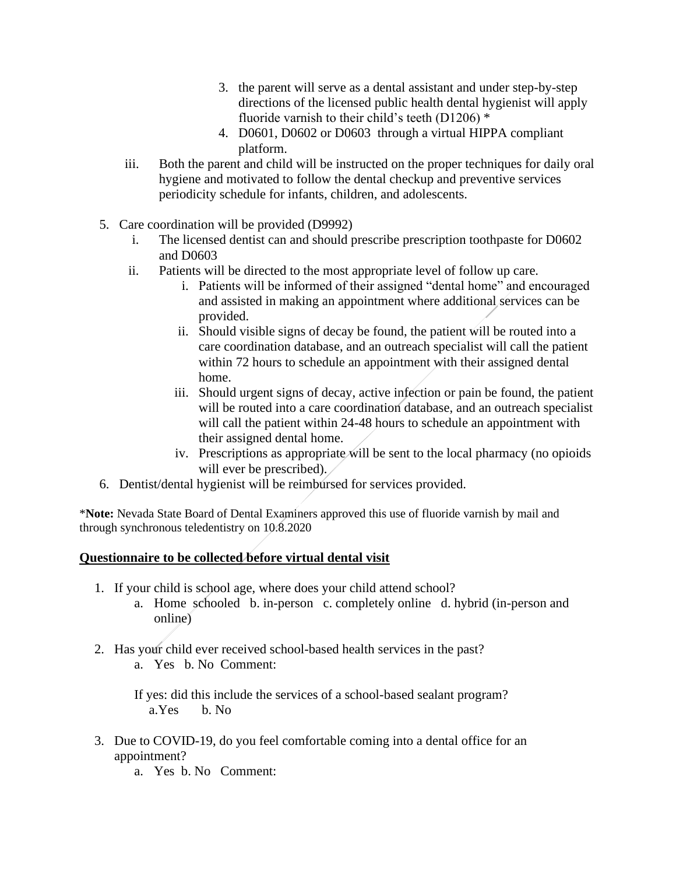- 3. the parent will serve as a dental assistant and under step-by-step directions of the licensed public health dental hygienist will apply fluoride varnish to their child's teeth (D1206)  $*$
- 4. D0601, D0602 or D0603 through a virtual HIPPA compliant platform.
- iii. Both the parent and child will be instructed on the proper techniques for daily oral hygiene and motivated to follow the dental checkup and preventive services periodicity schedule for infants, children, and adolescents.
- 5. Care coordination will be provided (D9992)
	- i. The licensed dentist can and should prescribe prescription toothpaste for D0602 and D0603
	- ii. Patients will be directed to the most appropriate level of follow up care.
		- i. Patients will be informed of their assigned "dental home" and encouraged and assisted in making an appointment where additional services can be provided.
		- ii. Should visible signs of decay be found, the patient will be routed into a care coordination database, and an outreach specialist will call the patient within 72 hours to schedule an appointment with their assigned dental home.
		- iii. Should urgent signs of decay, active infection or pain be found, the patient will be routed into a care coordination database, and an outreach specialist will call the patient within 24-48 hours to schedule an appointment with their assigned dental home.
		- iv. Prescriptions as appropriate will be sent to the local pharmacy (no opioids will ever be prescribed).
- 6. Dentist/dental hygienist will be reimbursed for services provided.

\***Note:** Nevada State Board of Dental Examiners approved this use of fluoride varnish by mail and through synchronous teledentistry on 10.8.2020

## **Questionnaire to be collected before virtual dental visit**

- 1. If your child is school age, where does your child attend school?
	- a. Home schooled b. in-person c. completely online d. hybrid (in-person and online)
- 2. Has your child ever received school-based health services in the past?
	- a. Yes b. No Comment:

If yes: did this include the services of a school-based sealant program? a.Yes b. No

- 3. Due to COVID-19, do you feel comfortable coming into a dental office for an appointment?
	- a. Yes b. No Comment: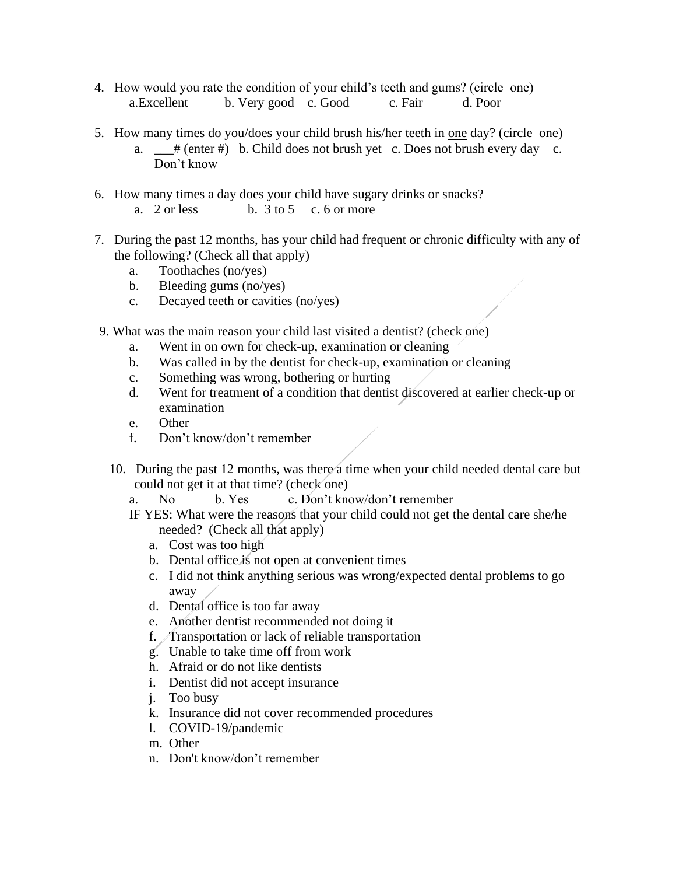- 4. How would you rate the condition of your child's teeth and gums? (circle one) a.Excellent b. Very good c. Good c. Fair d. Poor
- 5. How many times do you/does your child brush his/her teeth in one day? (circle one)
	- a.  $\frac{1}{2}$  (enter #) b. Child does not brush yet c. Does not brush every day c. Don't know
- 6. How many times a day does your child have sugary drinks or snacks? a.  $2 \text{ or less}$  b.  $3 \text{ to } 5$  c. 6 or more
- 7. During the past 12 months, has your child had frequent or chronic difficulty with any of the following? (Check all that apply)
	- a. Toothaches (no/yes)
	- b. Bleeding gums (no/yes)
	- c. Decayed teeth or cavities (no/yes)
- 9. What was the main reason your child last visited a dentist? (check one)
	- a. Went in on own for check-up, examination or cleaning
	- b. Was called in by the dentist for check-up, examination or cleaning
	- c. Something was wrong, bothering or hurting
	- d. Went for treatment of a condition that dentist discovered at earlier check-up or examination
	- e. Other
	- f. Don't know/don't remember
	- 10. During the past 12 months, was there a time when your child needed dental care but could not get it at that time? (check one)

a. No b. Yes c. Don't know/don't remember

- IF YES: What were the reasons that your child could not get the dental care she/he needed? (Check all that apply)
	- a. Cost was too high
	- b. Dental office is not open at convenient times
	- c. I did not think anything serious was wrong/expected dental problems to go away
	- d. Dental office is too far away
	- e. Another dentist recommended not doing it
	- f. Transportation or lack of reliable transportation
	- g. Unable to take time off from work
	- h. Afraid or do not like dentists
	- i. Dentist did not accept insurance
	- j. Too busy
	- k. Insurance did not cover recommended procedures
	- l. COVID-19/pandemic
	- m. Other
	- n. Don't know/don't remember